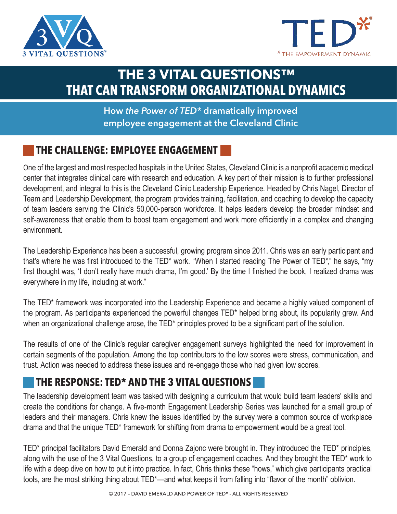



# **THE 3 VITAL QUESTIONS™ THAT CAN TRANSFORM ORGANIZATIONAL DYNAMICS**

#### **How** *the Power of TED\** **dramatically improved employee engagement at the Cleveland Clinic**

#### **THE CHALLENGE: EMPLOYEE ENGAGEMENT**

One of the largest and most respected hospitals in the United States, Cleveland Clinic is a nonprofit academic medical center that integrates clinical care with research and education. A key part of their mission is to further professional development, and integral to this is the Cleveland Clinic Leadership Experience. Headed by Chris Nagel, Director of Team and Leadership Development, the program provides training, facilitation, and coaching to develop the capacity of team leaders serving the Clinic's 50,000-person workforce. It helps leaders develop the broader mindset and self-awareness that enable them to boost team engagement and work more efficiently in a complex and changing environment.

The Leadership Experience has been a successful, growing program since 2011. Chris was an early participant and that's where he was first introduced to the TED\* work. "When I started reading The Power of TED\*," he says, "my first thought was, 'I don't really have much drama, I'm good.' By the time I finished the book, I realized drama was everywhere in my life, including at work."

The TED\* framework was incorporated into the Leadership Experience and became a highly valued component of the program. As participants experienced the powerful changes TED\* helped bring about, its popularity grew. And when an organizational challenge arose, the TED<sup>\*</sup> principles proved to be a significant part of the solution.

The results of one of the Clinic's regular caregiver engagement surveys highlighted the need for improvement in certain segments of the population. Among the top contributors to the low scores were stress, communication, and trust. Action was needed to address these issues and re-engage those who had given low scores.

## **THE RESPONSE: TED\* AND THE 3 VITAL QUESTIONS**

The leadership development team was tasked with designing a curriculum that would build team leaders' skills and create the conditions for change. A five-month Engagement Leadership Series was launched for a small group of leaders and their managers. Chris knew the issues identified by the survey were a common source of workplace drama and that the unique TED\* framework for shifting from drama to empowerment would be a great tool.

TED\* principal facilitators David Emerald and Donna Zajonc were brought in. They introduced the TED\* principles, along with the use of the 3 Vital Questions, to a group of engagement coaches. And they brought the TED\* work to life with a deep dive on how to put it into practice. In fact, Chris thinks these "hows," which give participants practical tools, are the most striking thing about TED\*—and what keeps it from falling into "flavor of the month" oblivion.